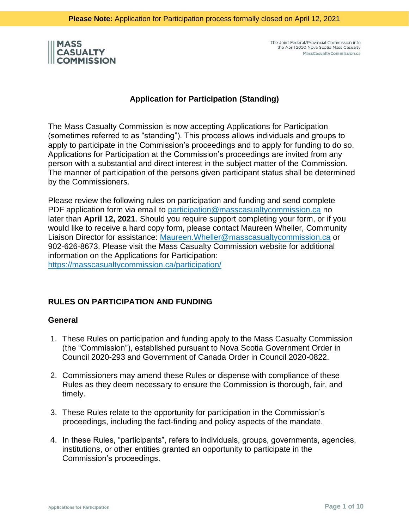

### **Application for Participation (Standing)**

The Mass Casualty Commission is now accepting Applications for Participation (sometimes referred to as "standing"). This process allows individuals and groups to apply to participate in the Commission's proceedings and to apply for funding to do so. Applications for Participation at the Commission's proceedings are invited from any person with a substantial and direct interest in the subject matter of the Commission. The manner of participation of the persons given participant status shall be determined by the Commissioners.

Please review the following rules on participation and funding and send complete PDF application form via email to [participation@masscasualtycommission.ca](mailto:participation@masscasualtycommission.ca) no later than **April 12, 2021**. Should you require support completing your form, or if you would like to receive a hard copy form, please contact Maureen Wheller, Community Liaison Director for assistance: [Maureen.Wheller@masscasualtycommission.ca](mailto:Maureen.Wheller@masscasualtycommission.ca) or 902-626-8673. Please visit the Mass Casualty Commission website for additional information on the Applications for Participation: <https://masscasualtycommission.ca/participation/>

### **RULES ON PARTICIPATION AND FUNDING**

### **General**

- 1. These Rules on participation and funding apply to the Mass Casualty Commission (the "Commission"), established pursuant to Nova Scotia Government Order in Council 2020-293 and Government of Canada Order in Council 2020-0822.
- 2. Commissioners may amend these Rules or dispense with compliance of these Rules as they deem necessary to ensure the Commission is thorough, fair, and timely.
- 3. These Rules relate to the opportunity for participation in the Commission's proceedings, including the fact-finding and policy aspects of the mandate.
- 4. In these Rules, "participants", refers to individuals, groups, governments, agencies, institutions, or other entities granted an opportunity to participate in the Commission's proceedings.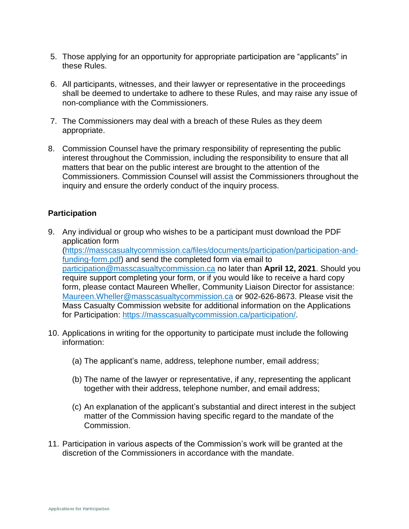- 5. Those applying for an opportunity for appropriate participation are "applicants" in these Rules.
- 6. All participants, witnesses, and their lawyer or representative in the proceedings shall be deemed to undertake to adhere to these Rules, and may raise any issue of non-compliance with the Commissioners.
- 7. The Commissioners may deal with a breach of these Rules as they deem appropriate.
- 8. Commission Counsel have the primary responsibility of representing the public interest throughout the Commission, including the responsibility to ensure that all matters that bear on the public interest are brought to the attention of the Commissioners. Commission Counsel will assist the Commissioners throughout the inquiry and ensure the orderly conduct of the inquiry process.

# **Participation**

- 9. Any individual or group who wishes to be a participant must download the PDF application form [\(https://masscasualtycommission.ca/files/documents/participation/participation-and](https://masscasualtycommission.ca/files/documents/participation/participation-and-funding-form.pdf)[funding-form.pdf\)](https://masscasualtycommission.ca/files/documents/participation/participation-and-funding-form.pdf) and send the completed form via email to [participation@masscasualtycommission.ca](mailto:participation@masscasualtycommission.ca) no later than **April 12, 2021**. Should you require support completing your form, or if you would like to receive a hard copy form, please contact Maureen Wheller, Community Liaison Director for assistance: [Maureen.Wheller@masscasualtycommission.ca](mailto:Maureen.Wheller@masscasualtycommission.ca) or 902-626-8673. Please visit the Mass Casualty Commission website for additional information on the Applications for Participation: [https://masscasualtycommission.ca/participation/.](https://masscasualtycommission.ca/participation/)
- 10. Applications in writing for the opportunity to participate must include the following information:
	- (a) The applicant's name, address, telephone number, email address;
	- (b) The name of the lawyer or representative, if any, representing the applicant together with their address, telephone number, and email address;
	- (c) An explanation of the applicant's substantial and direct interest in the subject matter of the Commission having specific regard to the mandate of the Commission.
- 11. Participation in various aspects of the Commission's work will be granted at the discretion of the Commissioners in accordance with the mandate.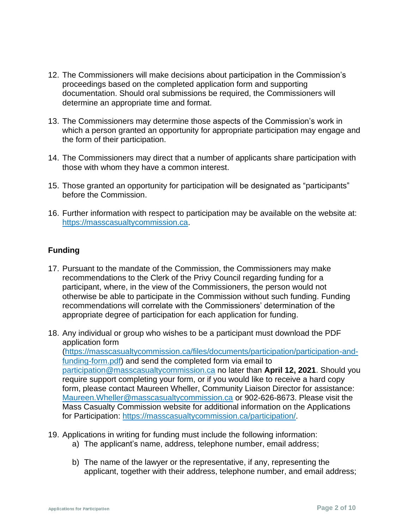- 12. The Commissioners will make decisions about participation in the Commission's proceedings based on the completed application form and supporting documentation. Should oral submissions be required, the Commissioners will determine an appropriate time and format.
- 13. The Commissioners may determine those aspects of the Commission's work in which a person granted an opportunity for appropriate participation may engage and the form of their participation.
- 14. The Commissioners may direct that a number of applicants share participation with those with whom they have a common interest.
- 15. Those granted an opportunity for participation will be designated as "participants" before the Commission.
- 16. Further information with respect to participation may be available on the website at: [https://masscasualtycommission.ca.](https://masscasualtycommission.ca/)

# **Funding**

- 17. Pursuant to the mandate of the Commission, the Commissioners may make recommendations to the Clerk of the Privy Council regarding funding for a participant, where, in the view of the Commissioners, the person would not otherwise be able to participate in the Commission without such funding. Funding recommendations will correlate with the Commissioners' determination of the appropriate degree of participation for each application for funding.
- 18. Any individual or group who wishes to be a participant must download the PDF application form [\(https://masscasualtycommission.ca/files/documents/participation/participation-and](https://masscasualtycommission.ca/files/documents/participation/participation-and-funding-form.pdf)[funding-form.pdf\)](https://masscasualtycommission.ca/files/documents/participation/participation-and-funding-form.pdf) and send the completed form via email to [participation@masscasualtycommission.ca](mailto:participation@masscasualtycommission.ca) no later than **April 12, 2021**. Should you require support completing your form, or if you would like to receive a hard copy form, please contact Maureen Wheller, Community Liaison Director for assistance: [Maureen.Wheller@masscasualtycommission.ca](mailto:Maureen.Wheller@masscasualtycommission.ca) or 902-626-8673. Please visit the Mass Casualty Commission website for additional information on the Applications for Participation: <https://masscasualtycommission.ca/participation/>.
- 19. Applications in writing for funding must include the following information:
	- a) The applicant's name, address, telephone number, email address;
	- b) The name of the lawyer or the representative, if any, representing the applicant, together with their address, telephone number, and email address;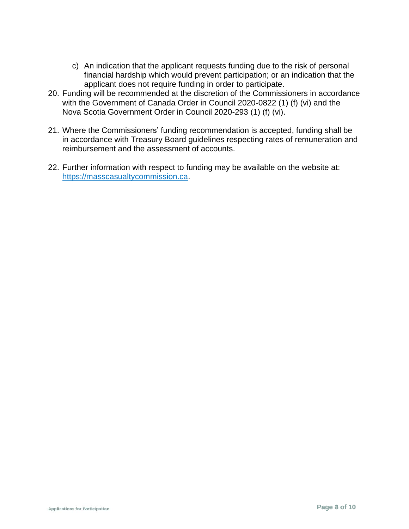- c) An indication that the applicant requests funding due to the risk of personal financial hardship which would prevent participation; or an indication that the applicant does not require funding in order to participate.
- 20. Funding will be recommended at the discretion of the Commissioners in accordance with the Government of Canada Order in Council 2020-0822 (1) (f) (vi) and the Nova Scotia Government Order in Council 2020-293 (1) (f) (vi).
- 21. Where the Commissioners' funding recommendation is accepted, funding shall be in accordance with Treasury Board guidelines respecting rates of remuneration and reimbursement and the assessment of accounts.
- 22. Further information with respect to funding may be available on the website at: [https://masscasualtycommission.ca.](https://masscasualtycommission.ca/)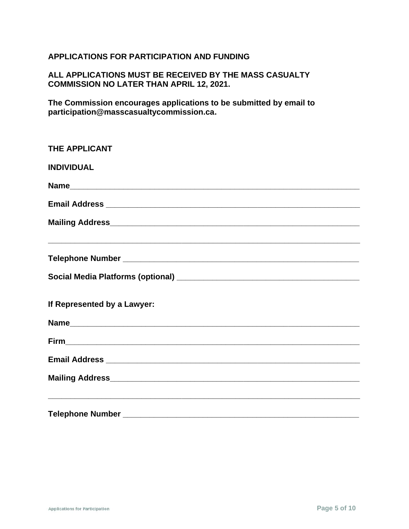# **APPLICATIONS FOR PARTICIPATION AND FUNDING**

# **ALL APPLICATIONS MUST BE RECEIVED BY THE MASS CASUALTY COMMISSION NO LATER THAN APRIL 12, 2021.**

**The Commission encourages applications to be submitted by email to participation@masscasualtycommission.ca.**

| <b>THE APPLICANT</b>                                                             |
|----------------------------------------------------------------------------------|
| <b>INDIVIDUAL</b>                                                                |
|                                                                                  |
|                                                                                  |
|                                                                                  |
|                                                                                  |
|                                                                                  |
|                                                                                  |
| If Represented by a Lawyer:                                                      |
|                                                                                  |
|                                                                                  |
|                                                                                  |
|                                                                                  |
| ,我们也不能在这里的时候,我们也不能在这里的时候,我们也不能在这里的时候,我们也不能会不能会不能会不能会不能会不能会不能会。""我们的人们也不能会不能会不能会不 |
|                                                                                  |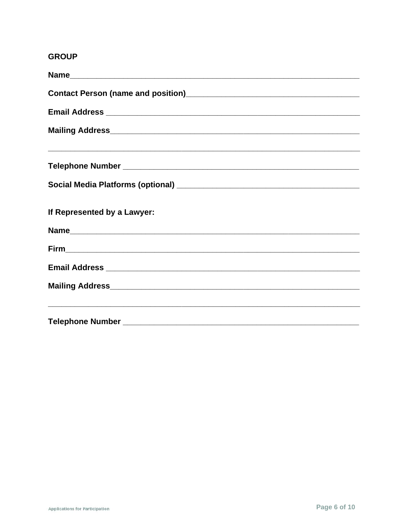# **GROUP**

| Contact Person (name and position)<br><u>Contact Person (name and position)</u>  |
|----------------------------------------------------------------------------------|
|                                                                                  |
|                                                                                  |
| ,我们也不能在这里的时候,我们也不能在这里的时候,我们也不能在这里的时候,我们也不能会不能会不能会不能会不能会不能会不能会。""我们的人们也不能会不能会不能会不 |
|                                                                                  |
| If Represented by a Lawyer:                                                      |
|                                                                                  |
|                                                                                  |
|                                                                                  |
|                                                                                  |
|                                                                                  |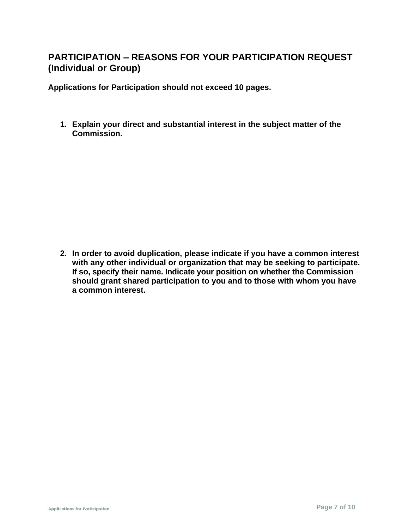# **PARTICIPATION – REASONS FOR YOUR PARTICIPATION REQUEST (Individual or Group)**

**Applications for Participation should not exceed 10 pages.**

**1. Explain your direct and substantial interest in the subject matter of the Commission.**

**2. In order to avoid duplication, please indicate if you have a common interest with any other individual or organization that may be seeking to participate. If so, specify their name. Indicate your position on whether the Commission should grant shared participation to you and to those with whom you have a common interest.**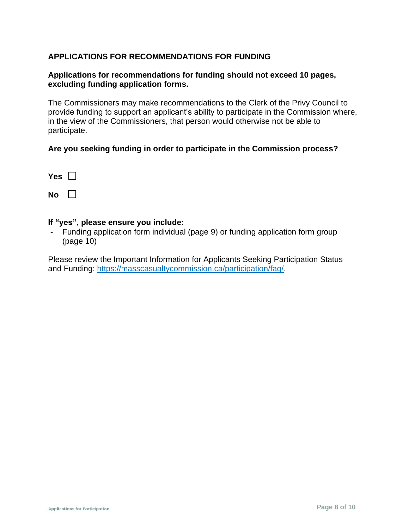# **APPLICATIONS FOR RECOMMENDATIONS FOR FUNDING**

### **Applications for recommendations for funding should not exceed 10 pages, excluding funding application forms.**

The Commissioners may make recommendations to the Clerk of the Privy Council to provide funding to support an applicant's ability to participate in the Commission where, in the view of the Commissioners, that person would otherwise not be able to participate.

### **Are you seeking funding in order to participate in the Commission process?**

| Y<br>ρs |  |
|---------|--|
|         |  |

 $N$ <sup> $\Omega$ </sup>

#### **If "yes", please ensure you include:**

- Funding application form individual (page 9) or funding application form group (page 10)

Please review the Important Information for Applicants Seeking Participation Status and Funding: <https://masscasualtycommission.ca/participation/faq/>.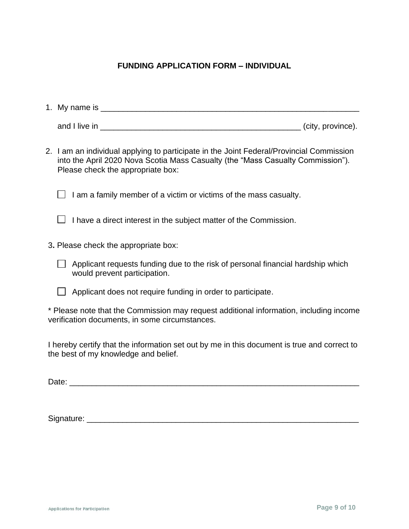# **FUNDING APPLICATION FORM – INDIVIDUAL**

| 1. My name is |                   |
|---------------|-------------------|
| and I live in | (city, province). |

2. I am an individual applying to participate in the Joint Federal/Provincial Commission into the April 2020 Nova Scotia Mass Casualty (the "Mass Casualty Commission"). Please check the appropriate box:

 $\Box$  I am a family member of a victim or victims of the mass casualty.

- $\Box$  I have a direct interest in the subject matter of the Commission.
- 3**.** Please check the appropriate box:
	- $\Box$  Applicant requests funding due to the risk of personal financial hardship which would prevent participation.
	- $\Box$  Applicant does not require funding in order to participate.

\* Please note that the Commission may request additional information, including income verification documents, in some circumstances.

I hereby certify that the information set out by me in this document is true and correct to the best of my knowledge and belief.

Date: \_\_\_\_\_\_\_\_\_\_\_\_\_\_\_\_\_\_\_\_\_\_\_\_\_\_\_\_\_\_\_\_\_\_\_\_\_\_\_\_\_\_\_\_\_\_\_\_\_\_\_\_\_\_\_\_\_\_\_\_\_\_\_\_\_

Signature: \_\_\_\_\_\_\_\_\_\_\_\_\_\_\_\_\_\_\_\_\_\_\_\_\_\_\_\_\_\_\_\_\_\_\_\_\_\_\_\_\_\_\_\_\_\_\_\_\_\_\_\_\_\_\_\_\_\_\_\_\_